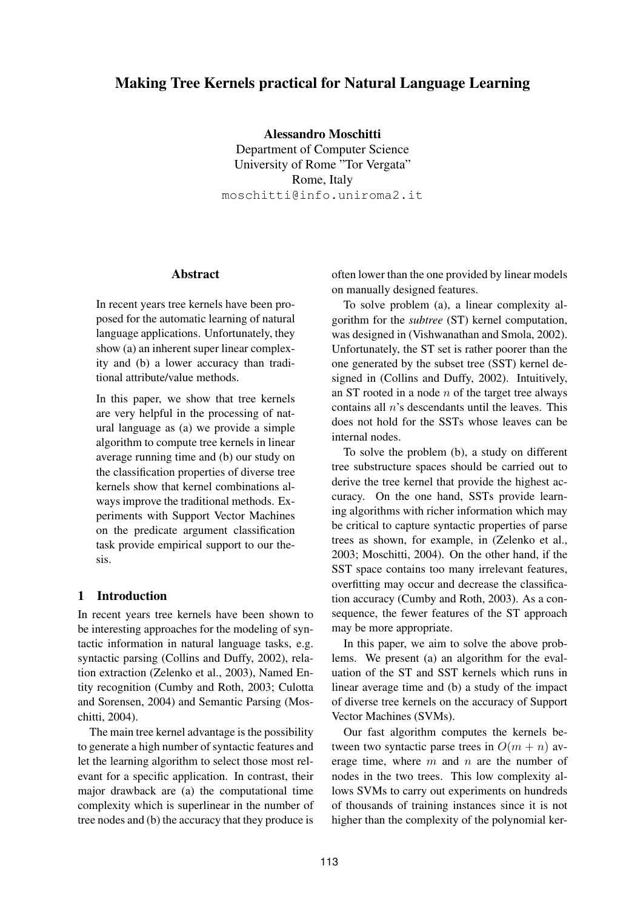# **Making Tree Kernels practical for Natural Language Learning**

**Alessandro Moschitti** Department of Computer Science University of Rome "Tor Vergata" Rome, Italy moschitti@info.uniroma2.it

#### **Abstract**

In recent years tree kernels have been proposed for the automatic learning of natural language applications. Unfortunately, they show (a) an inherent super linear complexity and (b) a lower accuracy than traditional attribute/value methods.

In this paper, we show that tree kernels are very helpful in the processing of natural language as (a) we provide a simple algorithm to compute tree kernels in linear average running time and (b) our study on the classification properties of diverse tree kernels show that kernel combinations always improve the traditional methods. Experiments with Support Vector Machines on the predicate argument classification task provide empirical support to our thesis.

## **1 Introduction**

In recent years tree kernels have been shown to be interesting approaches for the modeling of syntactic information in natural language tasks, e.g. syntactic parsing (Collins and Duffy, 2002), relation extraction (Zelenko et al., 2003), Named Entity recognition (Cumby and Roth, 2003; Culotta and Sorensen, 2004) and Semantic Parsing (Moschitti, 2004).

The main tree kernel advantage is the possibility to generate a high number of syntactic features and let the learning algorithm to select those most relevant for a specific application. In contrast, their major drawback are (a) the computational time complexity which is superlinear in the number of tree nodes and (b) the accuracy that they produce is often lower than the one provided by linear models on manually designed features.

To solve problem (a), a linear complexity algorithm for the *subtree* (ST) kernel computation, was designed in (Vishwanathan and Smola, 2002). Unfortunately, the ST set is rather poorer than the one generated by the subset tree (SST) kernel designed in (Collins and Duffy, 2002). Intuitively, an ST rooted in a node  $n$  of the target tree always contains all  $n$ 's descendants until the leaves. This does not hold for the SSTs whose leaves can be internal nodes.

To solve the problem (b), a study on different tree substructure spaces should be carried out to derive the tree kernel that provide the highest accuracy. On the one hand, SSTs provide learning algorithms with richer information which may be critical to capture syntactic properties of parse trees as shown, for example, in (Zelenko et al., 2003; Moschitti, 2004). On the other hand, if the SST space contains too many irrelevant features, overfitting may occur and decrease the classification accuracy (Cumby and Roth, 2003). As a consequence, the fewer features of the ST approach may be more appropriate.

In this paper, we aim to solve the above problems. We present (a) an algorithm for the evaluation of the ST and SST kernels which runs in linear average time and (b) a study of the impact of diverse tree kernels on the accuracy of Support Vector Machines (SVMs).

Our fast algorithm computes the kernels between two syntactic parse trees in  $O(m + n)$  average time, where  $m$  and  $n$  are the number of nodes in the two trees. This low complexity allows SVMs to carry out experiments on hundreds of thousands of training instances since it is not higher than the complexity of the polynomial ker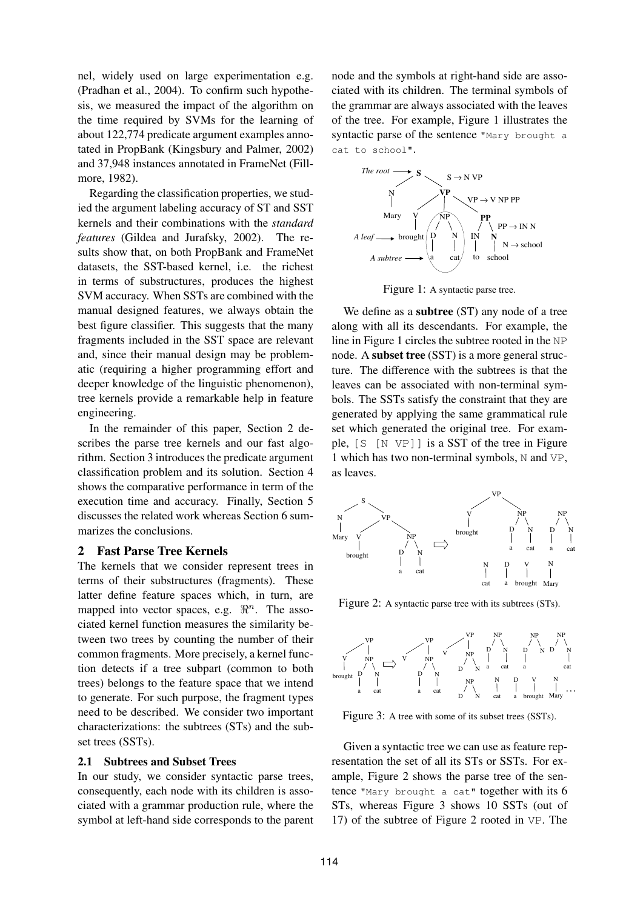nel, widely used on large experimentation e.g. (Pradhan et al., 2004). To confirm such hypothesis, we measured the impact of the algorithm on the time required by SVMs for the learning of about 122,774 predicate argument examples annotated in PropBank (Kingsbury and Palmer, 2002) and 37,948 instances annotated in FrameNet (Fillmore, 1982).

Regarding the classification properties, we studied the argument labeling accuracy of ST and SST kernels and their combinations with the *standard features* (Gildea and Jurafsky, 2002). The results show that, on both PropBank and FrameNet datasets, the SST-based kernel, i.e. the richest in terms of substructures, produces the highest SVM accuracy. When SSTs are combined with the manual designed features, we always obtain the best figure classifier. This suggests that the many fragments included in the SST space are relevant and, since their manual design may be problematic (requiring a higher programming effort and deeper knowledge of the linguistic phenomenon), tree kernels provide a remarkable help in feature engineering.

In the remainder of this paper, Section 2 describes the parse tree kernels and our fast algorithm. Section 3 introduces the predicate argument classification problem and its solution. Section 4 shows the comparative performance in term of the execution time and accuracy. Finally, Section 5 discusses the related work whereas Section 6 summarizes the conclusions.

## **2 Fast Parse Tree Kernels**

The kernels that we consider represent trees in terms of their substructures (fragments). These latter define feature spaces which, in turn, are mapped into vector spaces, e.g.  $\mathbb{R}^n$ . The associated kernel function measures the similarity between two trees by counting the number of their common fragments. More precisely, a kernel function detects if a tree subpart (common to both trees) belongs to the feature space that we intend to generate. For such purpose, the fragment types need to be described. We consider two important characterizations: the subtrees (STs) and the subset trees (SSTs).

### **2.1 Subtrees and Subset Trees**

In our study, we consider syntactic parse trees, consequently, each node with its children is associated with a grammar production rule, where the symbol at left-hand side corresponds to the parent

node and the symbols at right-hand side are associated with its children. The terminal symbols of the grammar are always associated with the leaves of the tree. For example, Figure 1 illustrates the syntactic parse of the sentence "Mary brought a cat to school".



Figure 1: A syntactic parse tree.

We define as a **subtree** (ST) any node of a tree along with all its descendants. For example, the line in Figure 1 circles the subtree rooted in the NP node. A **subset tree** (SST) is a more general structure. The difference with the subtrees is that the leaves can be associated with non-terminal symbols. The SSTs satisfy the constraint that they are generated by applying the same grammatical rule set which generated the original tree. For example, [S [N VP]] is a SST of the tree in Figure 1 which has two non-terminal symbols, N and VP, as leaves.



Figure 2: A syntactic parse tree with its subtrees (STs).



Figure 3: A tree with some of its subset trees (SSTs).

Given a syntactic tree we can use as feature representation the set of all its STs or SSTs. For example, Figure 2 shows the parse tree of the sentence "Mary brought a cat" together with its 6 STs, whereas Figure 3 shows 10 SSTs (out of 17) of the subtree of Figure 2 rooted in VP. The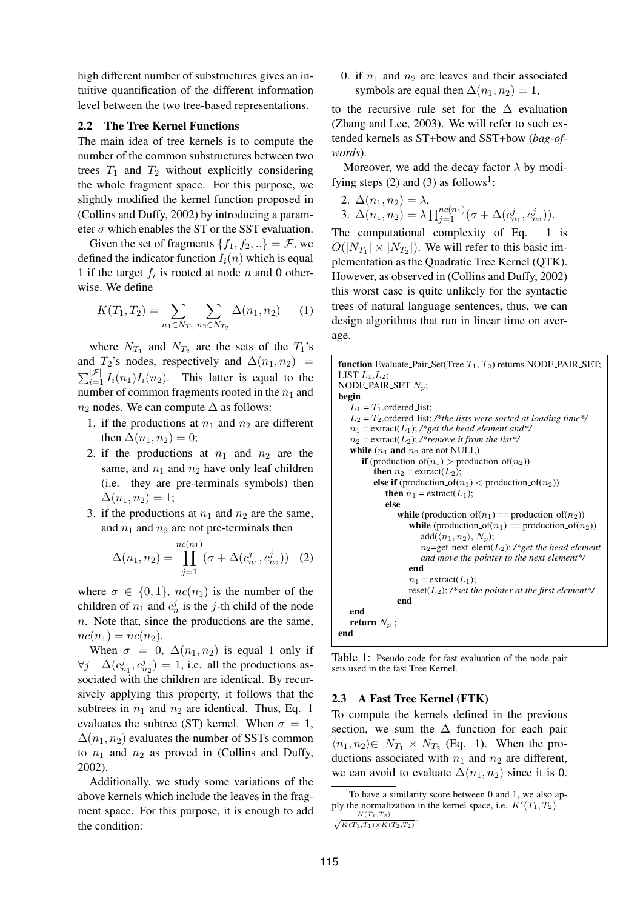high different number of substructures gives an intuitive quantification of the different information level between the two tree-based representations.

#### **2.2 The Tree Kernel Functions**

The main idea of tree kernels is to compute the number of the common substructures between two trees  $T_1$  and  $T_2$  without explicitly considering the whole fragment space. For this purpose, we slightly modified the kernel function proposed in (Collins and Duffy, 2002) by introducing a parameter  $\sigma$  which enables the ST or the SST evaluation.

Given the set of fragments  $\{f_1, f_2, ...\} = \mathcal{F}$ , we defined the indicator function  $I_i(n)$  which is equal 1 if the target  $f_i$  is rooted at node n and 0 otherwise. We define

$$
K(T_1, T_2) = \sum_{n_1 \in N_{T_1}} \sum_{n_2 \in N_{T_2}} \Delta(n_1, n_2) \qquad (1)
$$

where  $N_{T_1}$  and  $N_{T_2}$  are the sets of the  $T_1$ 's and  $T_2$ 's nodes, respectively and  $\Delta(n_1,n_2)$  =  $\sum_{i=1}^{|\mathcal{F}|} I_i(n_1) I_i(n_2)$ . This latter is equal to the number of common fragments rooted in the  $n_1$  and  $n_2$  nodes. We can compute  $\Delta$  as follows:

- 1. if the productions at  $n_1$  and  $n_2$  are different then  $\Delta(n_1,n_2)=0;$
- 2. if the productions at  $n_1$  and  $n_2$  are the same, and  $n_1$  and  $n_2$  have only leaf children (i.e. they are pre-terminals symbols) then  $\Delta(n_1, n_2) = 1;$
- 3. if the productions at  $n_1$  and  $n_2$  are the same, and  $n_1$  and  $n_2$  are not pre-terminals then

$$
\Delta(n_1, n_2) = \prod_{j=1}^{nc(n_1)} (\sigma + \Delta(c_{n_1}^j, c_{n_2}^j))
$$
 (2)

where  $\sigma \in \{0, 1\}$ ,  $nc(n_1)$  is the number of the children of  $n_1$  and  $c_n^j$  is the *j*-th child of the node  $n.$  Note that, since the productions are the same,  $nc(n_1) = nc(n_2)$ .

When  $\sigma = 0$ ,  $\Delta(n_1, n_2)$  is equal 1 only if  $\forall j \quad \Delta(c_{n_1}^j, c_{n_2}^j) = 1$ , i.e. all the productions associated with the children are identical. By recursively applying this property, it follows that the subtrees in  $n_1$  and  $n_2$  are identical. Thus, Eq. 1 evaluates the subtree (ST) kernel. When  $\sigma = 1$ ,  $\Delta(n_1,n_2)$  evaluates the number of SSTs common to  $n_1$  and  $n_2$  as proved in (Collins and Duffy, 2002).

Additionally, we study some variations of the above kernels which include the leaves in the fragment space. For this purpose, it is enough to add the condition:

0. if  $n_1$  and  $n_2$  are leaves and their associated symbols are equal then  $\Delta(n_1, n_2) = 1$ ,

to the recursive rule set for the  $\Delta$  evaluation (Zhang and Lee, 2003). We will refer to such extended kernels as ST+bow and SST+bow (*bag-ofwords*).

Moreover, we add the decay factor  $\lambda$  by modifying steps  $(2)$  and  $(3)$  as follows<sup>1</sup>:

2. 
$$
\Delta(n_1, n_2) = \lambda
$$
,  
3.  $\Delta(n_1, n_2) = \lambda \prod_{j=1}^{nc(n_1)} (\sigma + \Delta(c_{n_1}^j, c_{n_2}^j)).$ 

The computational complexity of Eq. 1 is  $O(|N_{T_1}| \times |N_{T_2}|)$ . We will refer to this basic implementation as the Quadratic Tree Kernel (QTK). However, as observed in (Collins and Duffy, 2002) this worst case is quite unlikely for the syntactic trees of natural language sentences, thus, we can design algorithms that run in linear time on average.

```
function Evaluate Pair Set(Tree T_1, T_2) returns NODE PAIR SET;
LIST L_1, L_2;
NODE PAIR SET N_n;
begin
   L_1 = T_1.ordered_list;
   L_2 = T_2 ordered list; /*the lists were sorted at loading time*/
   n_1 = extract(L_1); /*get the head element and*/
   n_2 = \text{extract}(L_2); /*remove it from the list*/
   while (n_1 and n_2 are not NULL)
      if (production of(n_1) > production of(n_2))
         then n_2 = extract(L_2);
         else if (production of(n_1) < production of(n_2))
            then n_1 = extract(L_1);
            else
               while (production of(n_1) == production of(n_2))
                   while (production of(n_1) == production of(n_2))
                      add(\langle n_1, n_2 \rangle, N_p);n2=get next elem(L2); /*get the head element
                      and move the pointer to the next element*/
                   end
                  n_1 = extract(L_1);
                  reset(L_2); /*set the pointer at the first element*/
               end
   end
   return N_p;
end
```
Table 1: Pseudo-code for fast evaluation of the node pair sets used in the fast Tree Kernel.

#### **2.3 A Fast Tree Kernel (FTK)**

To compute the kernels defined in the previous section, we sum the  $\Delta$  function for each pair  $\langle n_1, n_2 \rangle \in N_{T_1} \times N_{T_2}$  (Eq. 1). When the productions associated with  $n_1$  and  $n_2$  are different, we can avoid to evaluate  $\Delta(n_1,n_2)$  since it is 0.

<sup>1</sup>To have a similarity score between 0 and 1, we also apply the normalization in the kernel space, i.e.  $K'(T_1, T_2) =$  $\frac{K(T_1,T_2)}{\sqrt{K(T_1,T_1)\times K(T_2,T_2)}}$ .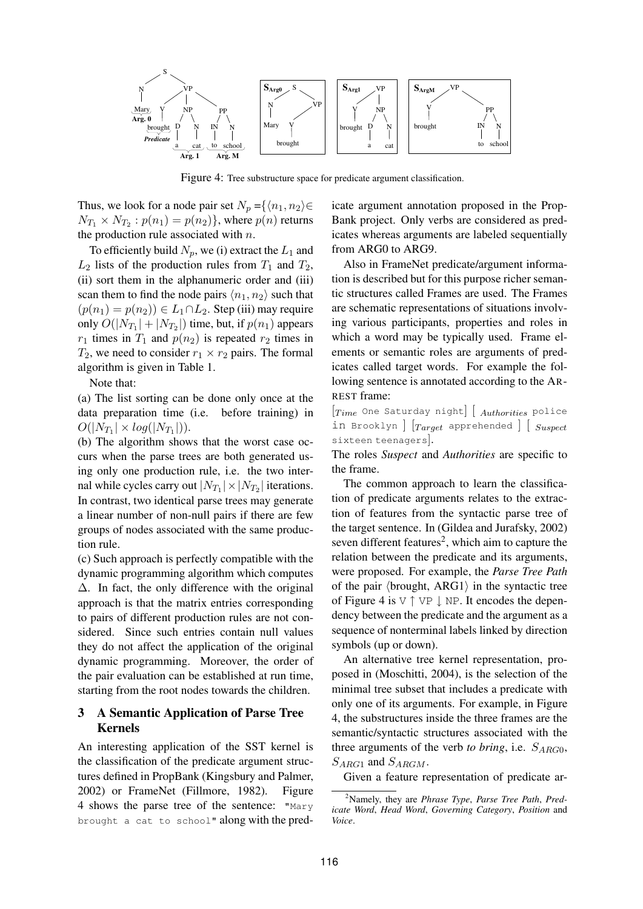

Figure 4: Tree substructure space for predicate argument classification.

Thus, we look for a node pair set  $N_p = \{(n_1, n_2) \in$  $N_{T_1}\times N_{T_2} : p(n_1)=p(n_2) \},$  where  $p(n)$  returns the production rule associated with  $n$ .

To efficiently build  $N_p$ , we (i) extract the  $L_1$  and  $L_2$  lists of the production rules from  $T_1$  and  $T_2$ , (ii) sort them in the alphanumeric order and (iii) scan them to find the node pairs  $\langle n_1,n_2 \rangle$  such that  $(p(n_1) = p(n_2)) \in L_1 \cap L_2$ . Step (iii) may require only  $O(|N_{T_1}| + |N_{T_2}|)$  time, but, if  $p(n_1)$  appears  $r_1$  times in  $T_1$  and  $p(n_2)$  is repeated  $r_2$  times in  $T_2$ , we need to consider  $r_1 \times r_2$  pairs. The formal algorithm is given in Table 1.

Note that:

(a) The list sorting can be done only once at the data preparation time (i.e. before training) in  $O(|N_{T_1}| \times log(|N_{T_1}|)).$ 

(b) The algorithm shows that the worst case occurs when the parse trees are both generated using only one production rule, i.e. the two internal while cycles carry out  $|N_{T_1}| \times |N_{T_2}|$  iterations. In contrast, two identical parse trees may generate a linear number of non-null pairs if there are few groups of nodes associated with the same production rule.

(c) Such approach is perfectly compatible with the dynamic programming algorithm which computes  $\Delta$ . In fact, the only difference with the original approach is that the matrix entries corresponding to pairs of different production rules are not considered. Since such entries contain null values they do not affect the application of the original dynamic programming. Moreover, the order of the pair evaluation can be established at run time, starting from the root nodes towards the children.

# **3 A Semantic Application of Parse Tree Kernels**

An interesting application of the SST kernel is the classification of the predicate argument structures defined in PropBank (Kingsbury and Palmer, 2002) or FrameNet (Fillmore, 1982). Figure 4 shows the parse tree of the sentence: "Mary brought a cat to school" along with the predicate argument annotation proposed in the Prop-Bank project. Only verbs are considered as predicates whereas arguments are labeled sequentially from ARG0 to ARG9.

Also in FrameNet predicate/argument information is described but for this purpose richer semantic structures called Frames are used. The Frames are schematic representations of situations involving various participants, properties and roles in which a word may be typically used. Frame elements or semantic roles are arguments of predicates called target words. For example the following sentence is annotated according to the AR-REST frame:

 $[Time$  One Saturday night  $\left[$   $\right]$   $\left[$   $_{\textit{Authorities}}$  police in Brooklyn  $\big|$   $\big[Target$  apprehended  $\big]$   $\big[$   $\big[$   $\big[$   $\big[$   $\big[$   $\big[$   $\big[$   $\big[$   $\big[$   $\big[$   $\big[$   $\big[$   $\big[$   $\big[$   $\big[$   $\big[$   $\big[$   $\big[$   $\big[$   $\big[$   $\big[$   $\big[$   $\big[$   $\big[$   $\big[$   $\big[$   $\big[$   $\big[$   $\big[$   $\big[$ sixteen teenagers].

The roles *Suspect* and *Authorities* are specific to the frame.

The common approach to learn the classification of predicate arguments relates to the extraction of features from the syntactic parse tree of the target sentence. In (Gildea and Jurafsky, 2002) seven different features<sup>2</sup>, which aim to capture the relation between the predicate and its arguments, were proposed. For example, the *Parse Tree Path* of the pair  $\langle$  brought, ARG1 $\rangle$  in the syntactic tree of Figure 4 is  $V \uparrow VP \downarrow NP$ . It encodes the dependency between the predicate and the argument as a sequence of nonterminal labels linked by direction symbols (up or down).

An alternative tree kernel representation, proposed in (Moschitti, 2004), is the selection of the minimal tree subset that includes a predicate with only one of its arguments. For example, in Figure 4, the substructures inside the three frames are the semantic/syntactic structures associated with the three arguments of the verb *to bring*, i.e.  $S_{ARG0}$ ,  $S_{ARG1}$  and  $S_{ARGM}$ .

Given a feature representation of predicate ar-

<sup>2</sup>Namely, they are *Phrase Type*, *Parse Tree Path*, *Predicate Word*, *Head Word*, *Governing Category*, *Position* and *Voice*.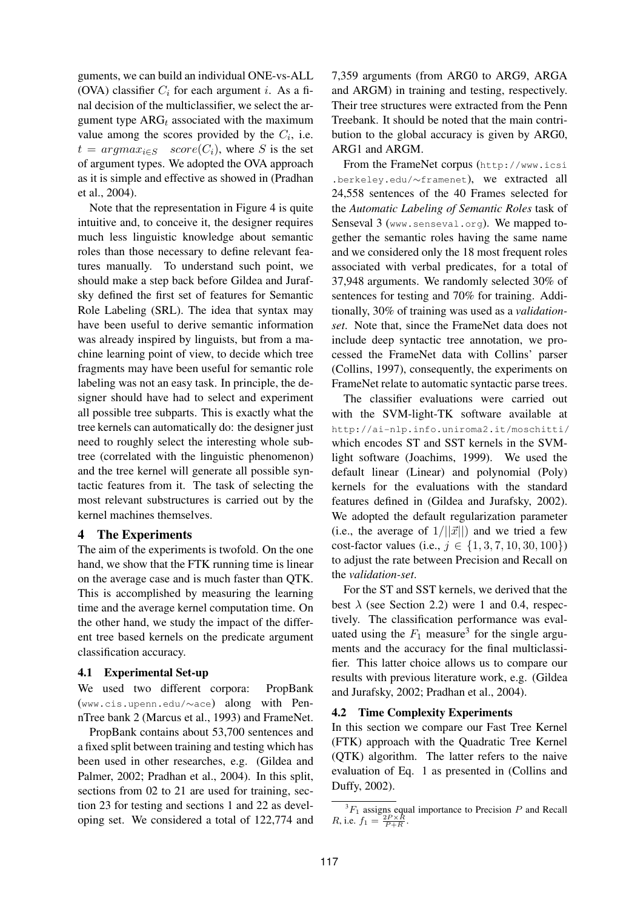guments, we can build an individual ONE-vs-ALL (OVA) classifier  $C_i$  for each argument i. As a final decision of the multiclassifier, we select the argument type  $ARG_t$  associated with the maximum value among the scores provided by the  $C_i$ , i.e.  $t = argmax_{i \in S} score(C_i)$ , where S is the set of argument types. We adopted the OVA approach as it is simple and effective as showed in (Pradhan et al., 2004).

Note that the representation in Figure 4 is quite intuitive and, to conceive it, the designer requires much less linguistic knowledge about semantic roles than those necessary to define relevant features manually. To understand such point, we should make a step back before Gildea and Jurafsky defined the first set of features for Semantic Role Labeling (SRL). The idea that syntax may have been useful to derive semantic information was already inspired by linguists, but from a machine learning point of view, to decide which tree fragments may have been useful for semantic role labeling was not an easy task. In principle, the designer should have had to select and experiment all possible tree subparts. This is exactly what the tree kernels can automatically do: the designer just need to roughly select the interesting whole subtree (correlated with the linguistic phenomenon) and the tree kernel will generate all possible syntactic features from it. The task of selecting the most relevant substructures is carried out by the kernel machines themselves.

### **4 The Experiments**

The aim of the experiments is twofold. On the one hand, we show that the FTK running time is linear on the average case and is much faster than QTK. This is accomplished by measuring the learning time and the average kernel computation time. On the other hand, we study the impact of the different tree based kernels on the predicate argument classification accuracy.

### **4.1 Experimental Set-up**

We used two different corpora: PropBank (www.cis.upenn.edu/∼ace) along with PennTree bank 2 (Marcus et al., 1993) and FrameNet.

PropBank contains about 53,700 sentences and a fixed split between training and testing which has been used in other researches, e.g. (Gildea and Palmer, 2002; Pradhan et al., 2004). In this split, sections from 02 to 21 are used for training, section 23 for testing and sections 1 and 22 as developing set. We considered a total of 122,774 and

7,359 arguments (from ARG0 to ARG9, ARGA and ARGM) in training and testing, respectively. Their tree structures were extracted from the Penn Treebank. It should be noted that the main contribution to the global accuracy is given by ARG0, ARG1 and ARGM.

From the FrameNet corpus (http://www.icsi .berkeley.edu/∼framenet), we extracted all 24,558 sentences of the 40 Frames selected for the *Automatic Labeling of Semantic Roles* task of Senseval 3 (www.senseval.org). We mapped together the semantic roles having the same name and we considered only the 18 most frequent roles associated with verbal predicates, for a total of 37,948 arguments. We randomly selected 30% of sentences for testing and 70% for training. Additionally, 30% of training was used as a *validationset*. Note that, since the FrameNet data does not include deep syntactic tree annotation, we processed the FrameNet data with Collins' parser (Collins, 1997), consequently, the experiments on FrameNet relate to automatic syntactic parse trees.

The classifier evaluations were carried out with the SVM-light-TK software available at http://ai-nlp.info.uniroma2.it/moschitti/ which encodes ST and SST kernels in the SVMlight software (Joachims, 1999). We used the default linear (Linear) and polynomial (Poly) kernels for the evaluations with the standard features defined in (Gildea and Jurafsky, 2002). We adopted the default regularization parameter (i.e., the average of  $1/||\vec{x}||$ ) and we tried a few cost-factor values (i.e.,  $j \in \{1, 3, 7, 10, 30, 100\}$ ) to adjust the rate between Precision and Recall on the *validation-set*.

For the ST and SST kernels, we derived that the best  $\lambda$  (see Section 2.2) were 1 and 0.4, respectively. The classification performance was evaluated using the  $F_1$  measure<sup>3</sup> for the single arguments and the accuracy for the final multiclassifier. This latter choice allows us to compare our results with previous literature work, e.g. (Gildea and Jurafsky, 2002; Pradhan et al., 2004).

### **4.2 Time Complexity Experiments**

In this section we compare our Fast Tree Kernel (FTK) approach with the Quadratic Tree Kernel (QTK) algorithm. The latter refers to the naive evaluation of Eq. 1 as presented in (Collins and Duffy, 2002).

 ${}^{3}F_{1}$  assigns equal importance to Precision P and Recall R, i.e.  $f_1 = \frac{2P \times R}{P + R}$ .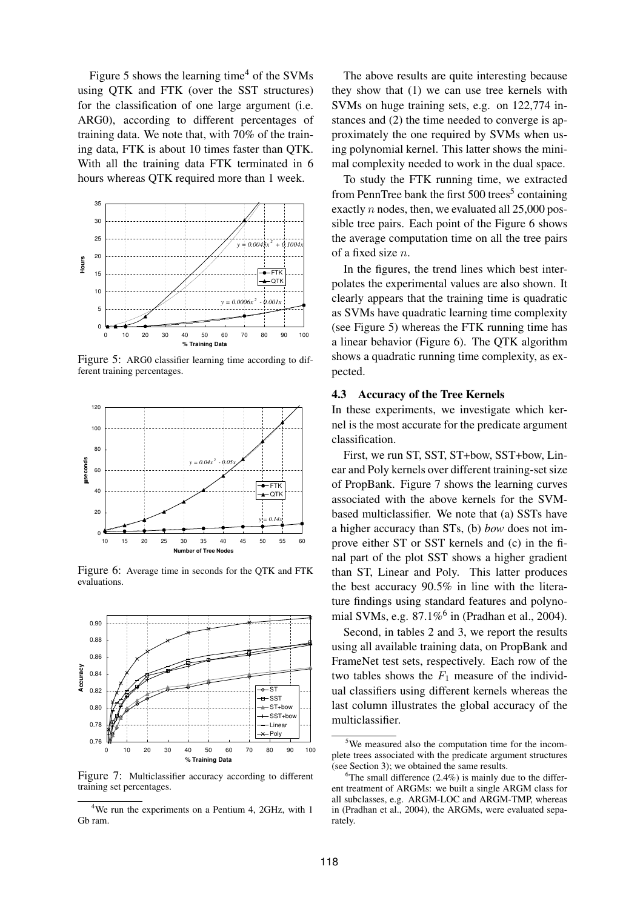Figure 5 shows the learning time<sup>4</sup> of the SVMs using QTK and FTK (over the SST structures) for the classification of one large argument (i.e. ARG0), according to different percentages of training data. We note that, with 70% of the training data, FTK is about 10 times faster than QTK. With all the training data FTK terminated in 6 hours whereas QTK required more than 1 week.



Figure 5: ARG0 classifier learning time according to different training percentages.



Figure 6: Average time in seconds for the QTK and FTK evaluations.



Figure 7: Multiclassifier accuracy according to different training set percentages.

The above results are quite interesting because they show that (1) we can use tree kernels with SVMs on huge training sets, e.g. on 122,774 instances and (2) the time needed to converge is approximately the one required by SVMs when using polynomial kernel. This latter shows the minimal complexity needed to work in the dual space.

To study the FTK running time, we extracted from PennTree bank the first  $500$  trees<sup>5</sup> containing exactly  $n$  nodes, then, we evaluated all 25,000 possible tree pairs. Each point of the Figure 6 shows the average computation time on all the tree pairs of a fixed size n.

In the figures, the trend lines which best interpolates the experimental values are also shown. It clearly appears that the training time is quadratic as SVMs have quadratic learning time complexity (see Figure 5) whereas the FTK running time has a linear behavior (Figure 6). The QTK algorithm shows a quadratic running time complexity, as expected.

#### **4.3 Accuracy of the Tree Kernels**

In these experiments, we investigate which kernel is the most accurate for the predicate argument classification.

First, we run ST, SST, ST+bow, SST+bow, Linear and Poly kernels over different training-set size of PropBank. Figure 7 shows the learning curves associated with the above kernels for the SVMbased multiclassifier. We note that (a) SSTs have a higher accuracy than STs, (b) *bow* does not improve either ST or SST kernels and (c) in the final part of the plot SST shows a higher gradient than ST, Linear and Poly. This latter produces the best accuracy 90.5% in line with the literature findings using standard features and polynomial SVMs, e.g.  $87.1\%$ <sup>6</sup> in (Pradhan et al., 2004).

Second, in tables 2 and 3, we report the results using all available training data, on PropBank and FrameNet test sets, respectively. Each row of the two tables shows the  $F_1$  measure of the individual classifiers using different kernels whereas the last column illustrates the global accuracy of the multiclassifier.

 $4$ We run the experiments on a Pentium 4, 2GHz, with 1 Gb ram.

<sup>&</sup>lt;sup>5</sup>We measured also the computation time for the incomplete trees associated with the predicate argument structures (see Section 3); we obtained the same results.

 $6$ The small difference (2.4%) is mainly due to the different treatment of ARGMs: we built a single ARGM class for all subclasses, e.g. ARGM-LOC and ARGM-TMP, whereas in (Pradhan et al., 2004), the ARGMs, were evaluated separately.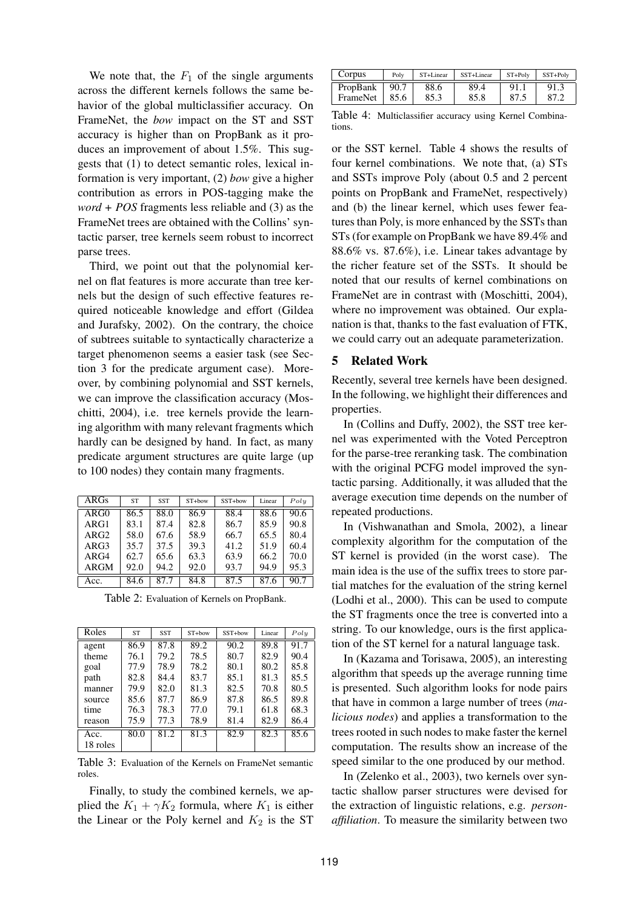We note that, the  $F_1$  of the single arguments across the different kernels follows the same behavior of the global multiclassifier accuracy. On FrameNet, the *bow* impact on the ST and SST accuracy is higher than on PropBank as it produces an improvement of about 1.5%. This suggests that (1) to detect semantic roles, lexical information is very important, (2) *bow* give a higher contribution as errors in POS-tagging make the *word + POS* fragments less reliable and (3) as the FrameNet trees are obtained with the Collins' syntactic parser, tree kernels seem robust to incorrect parse trees.

Third, we point out that the polynomial kernel on flat features is more accurate than tree kernels but the design of such effective features required noticeable knowledge and effort (Gildea and Jurafsky, 2002). On the contrary, the choice of subtrees suitable to syntactically characterize a target phenomenon seems a easier task (see Section 3 for the predicate argument case). Moreover, by combining polynomial and SST kernels, we can improve the classification accuracy (Moschitti, 2004), i.e. tree kernels provide the learning algorithm with many relevant fragments which hardly can be designed by hand. In fact, as many predicate argument structures are quite large (up to 100 nodes) they contain many fragments.

| ARGs        | <b>ST</b> | <b>SST</b> | ST+bow | SST+bow | Linear | Poly |
|-------------|-----------|------------|--------|---------|--------|------|
| ARG0        | 86.5      | 88.0       | 86.9   | 88.4    | 88.6   | 90.6 |
| ARG1        | 83.1      | 87.4       | 82.8   | 86.7    | 85.9   | 90.8 |
| ARG2        | 58.0      | 67.6       | 58.9   | 66.7    | 65.5   | 80.4 |
| ARG3        | 35.7      | 37.5       | 39.3   | 41.2    | 51.9   | 60.4 |
| ARG4        | 62.7      | 65.6       | 63.3   | 63.9    | 66.2   | 70.0 |
| <b>ARGM</b> | 92.0      | 94.2       | 92.0   | 93.7    | 94.9   | 95.3 |
| Acc.        | 84.6      | 87.7       | 84.8   | 87.5    | 87.6   | 90.7 |

Table 2: Evaluation of Kernels on PropBank.

| Roles    | <b>ST</b> | <b>SST</b> | ST+bow | SST+bow | Linear | Poly |
|----------|-----------|------------|--------|---------|--------|------|
| agent    | 86.9      | 87.8       | 89.2   | 90.2    | 89.8   | 91.7 |
| theme    | 76.1      | 79.2       | 78.5   | 80.7    | 82.9   | 90.4 |
| goal     | 77.9      | 78.9       | 78.2   | 80.1    | 80.2   | 85.8 |
| path     | 82.8      | 84.4       | 83.7   | 85.1    | 81.3   | 85.5 |
| manner   | 79.9      | 82.0       | 81.3   | 82.5    | 70.8   | 80.5 |
| source   | 85.6      | 87.7       | 86.9   | 87.8    | 86.5   | 89.8 |
| time     | 76.3      | 78.3       | 77.0   | 79.1    | 61.8   | 68.3 |
| reason   | 75.9      | 77.3       | 78.9   | 81.4    | 82.9   | 86.4 |
| Acc.     | 80.0      | 81.2       | 81.3   | 82.9    | 82.3   | 85.6 |
| 18 roles |           |            |        |         |        |      |

Table 3: Evaluation of the Kernels on FrameNet semantic roles.

Finally, to study the combined kernels, we applied the  $K_1 + \gamma K_2$  formula, where  $K_1$  is either the Linear or the Poly kernel and  $K_2$  is the ST

| Corpus   | Poly | ST+Linear | SST+Linear | $ST+Poly$ | SST+Poly |
|----------|------|-----------|------------|-----------|----------|
| PropBank | 90.7 | 88.6      | 89.4       | 91.       | 91.3     |
| FrameNet | 85.6 | 85.3      | 85.8       |           |          |

Table 4: Multiclassifier accuracy using Kernel Combinations.

or the SST kernel. Table 4 shows the results of four kernel combinations. We note that, (a) STs and SSTs improve Poly (about 0.5 and 2 percent points on PropBank and FrameNet, respectively) and (b) the linear kernel, which uses fewer features than Poly, is more enhanced by the SSTs than STs (for example on PropBank we have 89.4% and 88.6% vs. 87.6%), i.e. Linear takes advantage by the richer feature set of the SSTs. It should be noted that our results of kernel combinations on FrameNet are in contrast with (Moschitti, 2004), where no improvement was obtained. Our explanation is that, thanks to the fast evaluation of FTK, we could carry out an adequate parameterization.

### **5 Related Work**

Recently, several tree kernels have been designed. In the following, we highlight their differences and properties.

In (Collins and Duffy, 2002), the SST tree kernel was experimented with the Voted Perceptron for the parse-tree reranking task. The combination with the original PCFG model improved the syntactic parsing. Additionally, it was alluded that the average execution time depends on the number of repeated productions.

In (Vishwanathan and Smola, 2002), a linear complexity algorithm for the computation of the ST kernel is provided (in the worst case). The main idea is the use of the suffix trees to store partial matches for the evaluation of the string kernel (Lodhi et al., 2000). This can be used to compute the ST fragments once the tree is converted into a string. To our knowledge, ours is the first application of the ST kernel for a natural language task.

In (Kazama and Torisawa, 2005), an interesting algorithm that speeds up the average running time is presented. Such algorithm looks for node pairs that have in common a large number of trees (*malicious nodes*) and applies a transformation to the trees rooted in such nodes to make faster the kernel computation. The results show an increase of the speed similar to the one produced by our method.

In (Zelenko et al., 2003), two kernels over syntactic shallow parser structures were devised for the extraction of linguistic relations, e.g. *personaffiliation*. To measure the similarity between two